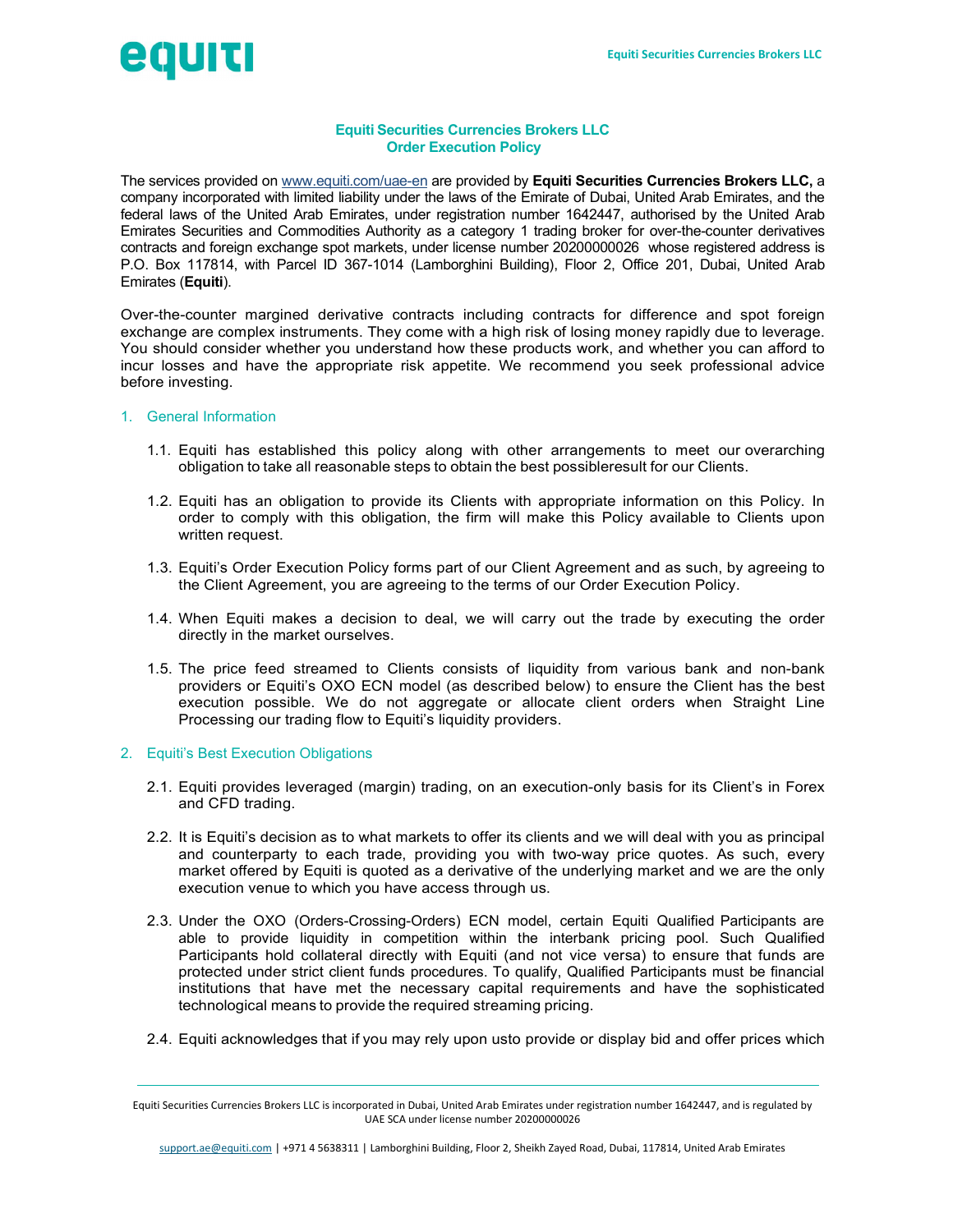# equid

# Equiti Securities Currencies Brokers LLC Order Execution Policy

The services provided on www.equiti.com/uae-en are provided by Equiti Securities Currencies Brokers LLC, a company incorporated with limited liability under the laws of the Emirate of Dubai, United Arab Emirates, and the federal laws of the United Arab Emirates, under registration number 1642447, authorised by the United Arab Emirates Securities and Commodities Authority as a category 1 trading broker for over-the-counter derivatives contracts and foreign exchange spot markets, under license number 20200000026 whose registered address is P.O. Box 117814, with Parcel ID 367-1014 (Lamborghini Building), Floor 2, Office 201, Dubai, United Arab Emirates (Equiti).

Over-the-counter margined derivative contracts including contracts for difference and spot foreign exchange are complex instruments. They come with a high risk of losing money rapidly due to leverage. You should consider whether you understand how these products work, and whether you can afford to incur losses and have the appropriate risk appetite. We recommend you seek professional advice before investing.

## 1. General Information

- 1.1. Equiti has established this policy along with other arrangements to meet our overarching obligation to take all reasonable steps to obtain the best possibleresult for our Clients.
- 1.2. Equiti has an obligation to provide its Clients with appropriate information on this Policy. In order to comply with this obligation, the firm will make this Policy available to Clients upon written request.
- 1.3. Equiti's Order Execution Policy forms part of our Client Agreement and as such, by agreeing to the Client Agreement, you are agreeing to the terms of our Order Execution Policy.
- 1.4. When Equiti makes a decision to deal, we will carry out the trade by executing the order directly in the market ourselves.
- 1.5. The price feed streamed to Clients consists of liquidity from various bank and non-bank providers or Equiti's OXO ECN model (as described below) to ensure the Client has the best execution possible. We do not aggregate or allocate client orders when Straight Line Processing our trading flow to Equiti's liquidity providers.

# 2. Equiti's Best Execution Obligations

- 2.1. Equiti provides leveraged (margin) trading, on an execution-only basis for its Client's in Forex and CFD trading.
- 2.2. It is Equiti's decision as to what markets to offer its clients and we will deal with you as principal and counterparty to each trade, providing you with two-way price quotes. As such, every market offered by Equiti is quoted as a derivative of the underlying market and we are the only execution venue to which you have access through us.
- 2.3. Under the OXO (Orders-Crossing-Orders) ECN model, certain Equiti Qualified Participants are able to provide liquidity in competition within the interbank pricing pool. Such Qualified Participants hold collateral directly with Equiti (and not vice versa) to ensure that funds are protected under strict client funds procedures. To qualify, Qualified Participants must be financial institutions that have met the necessary capital requirements and have the sophisticated technological means to provide the required streaming pricing.
- 2.4. Equiti acknowledges that if you may rely upon usto provide or display bid and offer prices which

Equiti Securities Currencies Brokers LLC is incorporated in Dubai, United Arab Emirates under registration number 1642447, and is regulated by UAE SCA under license number 20200000026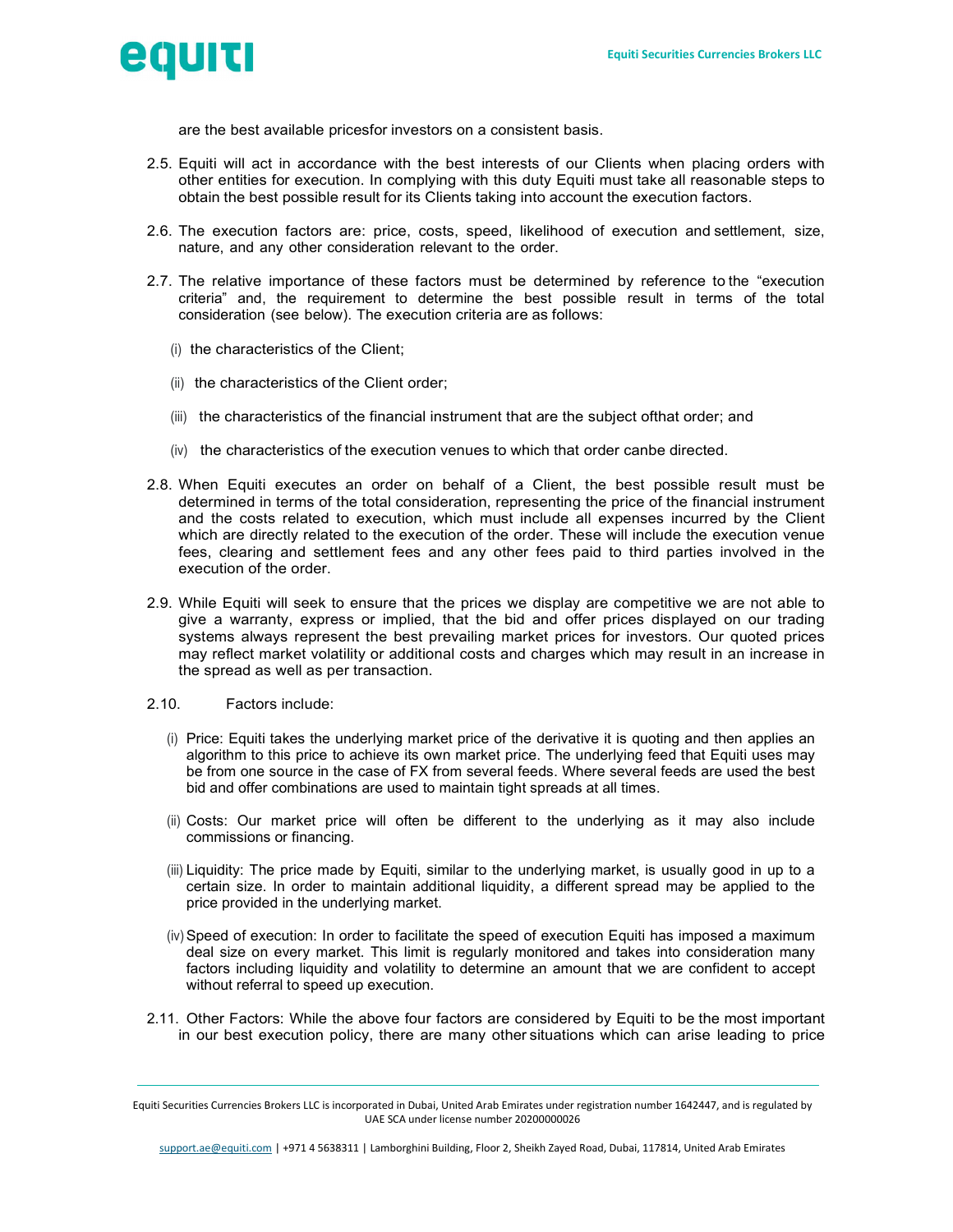

are the best available prices for investors on a consistent basis.

- 2.5. Equiti will act in accordance with the best interests of our Clients when placing orders with other entities for execution. In complying with this duty Equiti must take all reasonable steps to obtain the best possible result for its Clients taking into account the execution factors.
- 2.6. The execution factors are: price, costs, speed, likelihood of execution and settlement, size, nature, and any other consideration relevant to the order.
- 2.7. The relative importance of these factors must be determined by reference to the "execution criteria" and, the requirement to determine the best possible result in terms of the total consideration (see below). The execution criteria are as follows:
	- (i) the characteristics of the Client;
	- (ii) the characteristics of the Client order;
	- (iii) the characteristics of the financial instrument that are the subject of that order; and
	- (iv) the characteristics of the execution venues to which that order canbe directed.
- 2.8. When Equiti executes an order on behalf of a Client, the best possible result must be determined in terms of the total consideration, representing the price of the financial instrument and the costs related to execution, which must include all expenses incurred by the Client which are directly related to the execution of the order. These will include the execution venue fees, clearing and settlement fees and any other fees paid to third parties involved in the execution of the order.
- 2.9. While Equiti will seek to ensure that the prices we display are competitive we are not able to give a warranty, express or implied, that the bid and offer prices displayed on our trading systems always represent the best prevailing market prices for investors. Our quoted prices may reflect market volatility or additional costs and charges which may result in an increase in the spread as well as per transaction.
- 2.10. Factors include:
	- (i) Price: Equiti takes the underlying market price of the derivative it is quoting and then applies an algorithm to this price to achieve its own market price. The underlying feed that Equiti uses may be from one source in the case of FX from several feeds. Where several feeds are used the best bid and offer combinations are used to maintain tight spreads at all times.
	- (ii) Costs: Our market price will often be different to the underlying as it may also include commissions or financing.
	- (iii) Liquidity: The price made by Equiti, similar to the underlying market, is usually good in up to a certain size. In order to maintain additional liquidity, a different spread may be applied to the price provided in the underlying market.
	- (iv) Speed of execution: In order to facilitate the speed of execution Equiti has imposed a maximum deal size on every market. This limit is regularly monitored and takes into consideration many factors including liquidity and volatility to determine an amount that we are confident to accept without referral to speed up execution.
- 2.11. Other Factors: While the above four factors are considered by Equiti to be the most important in our best execution policy, there are many other situations which can arise leading to price

Equiti Securities Currencies Brokers LLC is incorporated in Dubai, United Arab Emirates under registration number 1642447, and is regulated by UAE SCA under license number 20200000026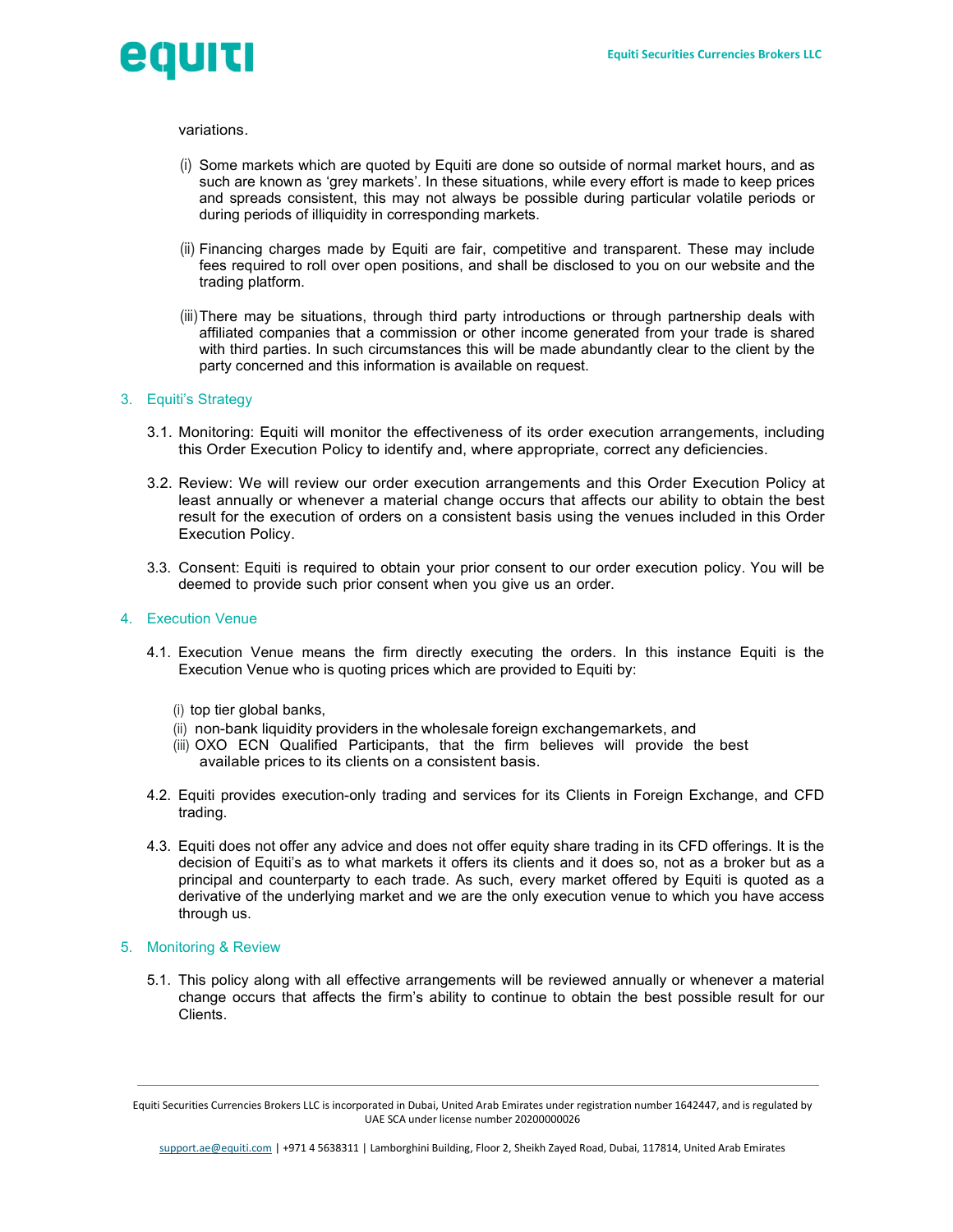

variations.

- $(i)$  Some markets which are quoted by Equiti are done so outside of normal market hours, and as such are known as 'grey markets'. In these situations, while every effort is made to keep prices and spreads consistent, this may not always be possible during particular volatile periods or during periods of illiquidity in corresponding markets.
- (ii) Financing charges made by Equiti are fair, competitive and transparent. These may include fees required to roll over open positions, and shall be disclosed to you on our website and the trading platform.
- (iii) There may be situations, through third party introductions or through partnership deals with affiliated companies that a commission or other income generated from your trade is shared with third parties. In such circumstances this will be made abundantly clear to the client by the party concerned and this information is available on request.

### 3. Equiti's Strategy

- 3.1. Monitoring: Equiti will monitor the effectiveness of its order execution arrangements, including this Order Execution Policy to identify and, where appropriate, correct any deficiencies.
- 3.2. Review: We will review our order execution arrangements and this Order Execution Policy at least annually or whenever a material change occurs that affects our ability to obtain the best result for the execution of orders on a consistent basis using the venues included in this Order Execution Policy.
- 3.3. Consent: Equiti is required to obtain your prior consent to our order execution policy. You will be deemed to provide such prior consent when you give us an order.

#### 4. Execution Venue

- 4.1. Execution Venue means the firm directly executing the orders. In this instance Equiti is the Execution Venue who is quoting prices which are provided to Equiti by:
	- (i) top tier global banks,
	- (ii) non-bank liquidity providers in the wholesale foreign exchange markets, and
	- (iii) OXO ECN Qualified Participants, that the firm believes will provide the best available prices to its clients on a consistent basis.
- 4.2. Equiti provides execution-only trading and services for its Clients in Foreign Exchange, and CFD trading.
- 4.3. Equiti does not offer any advice and does not offer equity share trading in its CFD offerings. It is the decision of Equiti's as to what markets it offers its clients and it does so, not as a broker but as a principal and counterparty to each trade. As such, every market offered by Equiti is quoted as a derivative of the underlying market and we are the only execution venue to which you have access through us.

## 5. Monitoring & Review

5.1. This policy along with all effective arrangements will be reviewed annually or whenever a material change occurs that affects the firm's ability to continue to obtain the best possible result for our Clients.

Equiti Securities Currencies Brokers LLC is incorporated in Dubai, United Arab Emirates under registration number 1642447, and is regulated by UAE SCA under license number 20200000026